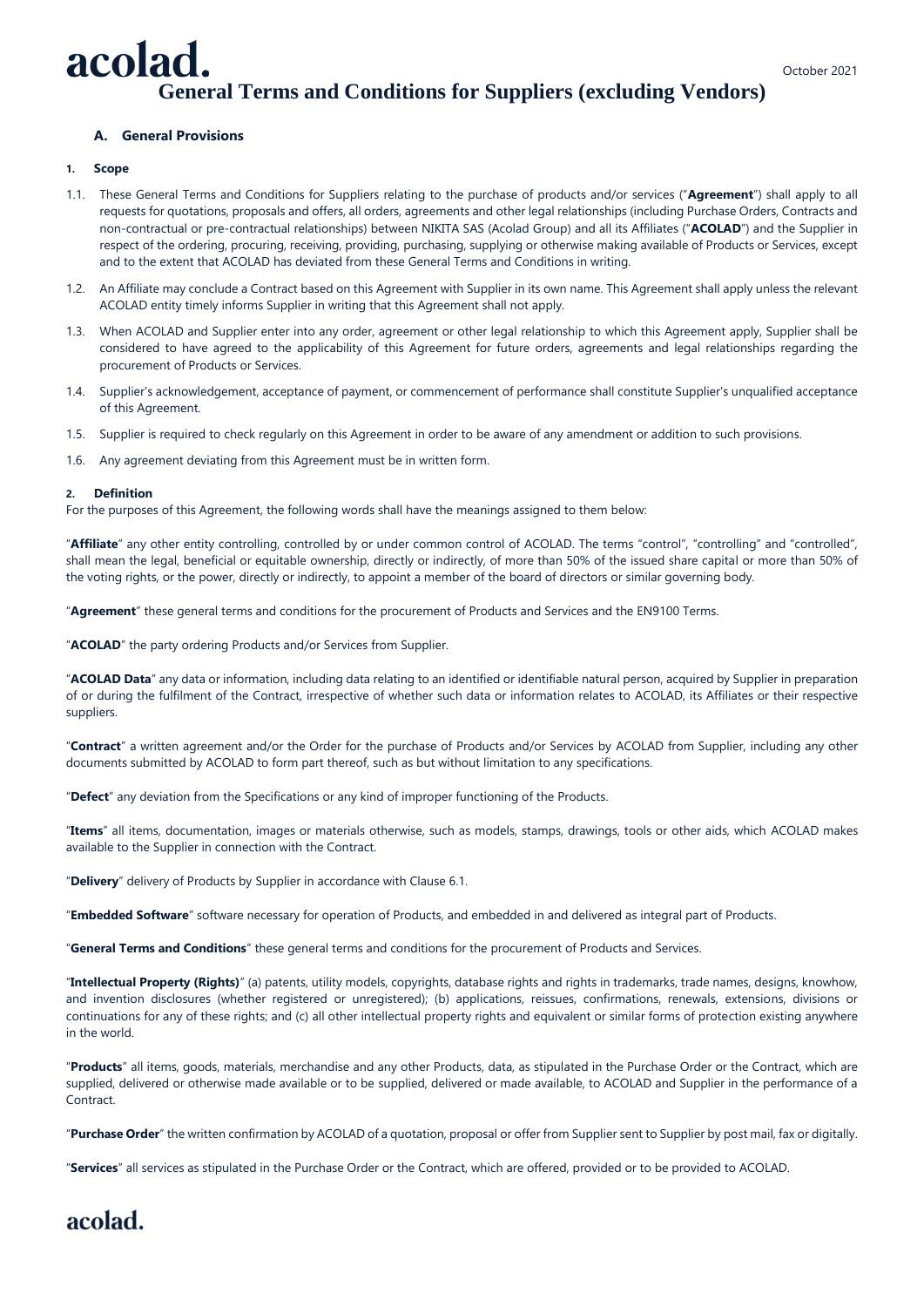#### October 2021

# acolad. **General Terms and Conditions for Suppliers (excluding Vendors)**

# **A. General Provisions**

#### **1. Scope**

- 1.1. These General Terms and Conditions for Suppliers relating to the purchase of products and/or services ("**Agreement**") shall apply to all requests for quotations, proposals and offers, all orders, agreements and other legal relationships (including Purchase Orders, Contracts and non-contractual or pre-contractual relationships) between NIKITA SAS (Acolad Group) and all its Affiliates ("**ACOLAD**") and the Supplier in respect of the ordering, procuring, receiving, providing, purchasing, supplying or otherwise making available of Products or Services, except and to the extent that ACOLAD has deviated from these General Terms and Conditions in writing.
- 1.2. An Affiliate may conclude a Contract based on this Agreement with Supplier in its own name. This Agreement shall apply unless the relevant ACOLAD entity timely informs Supplier in writing that this Agreement shall not apply.
- 1.3. When ACOLAD and Supplier enter into any order, agreement or other legal relationship to which this Agreement apply, Supplier shall be considered to have agreed to the applicability of this Agreement for future orders, agreements and legal relationships regarding the procurement of Products or Services.
- 1.4. Supplier's acknowledgement, acceptance of payment, or commencement of performance shall constitute Supplier's unqualified acceptance of this Agreement.
- 1.5. Supplier is required to check regularly on this Agreement in order to be aware of any amendment or addition to such provisions.
- 1.6. Any agreement deviating from this Agreement must be in written form.

#### **2. Definition**

For the purposes of this Agreement, the following words shall have the meanings assigned to them below:

"**Affiliate**" any other entity controlling, controlled by or under common control of ACOLAD. The terms "control", "controlling" and "controlled", shall mean the legal, beneficial or equitable ownership, directly or indirectly, of more than 50% of the issued share capital or more than 50% of the voting rights, or the power, directly or indirectly, to appoint a member of the board of directors or similar governing body.

"**Agreement**" these general terms and conditions for the procurement of Products and Services and the EN9100 Terms.

"**ACOLAD**" the party ordering Products and/or Services from Supplier.

"**ACOLAD Data**" any data or information, including data relating to an identified or identifiable natural person, acquired by Supplier in preparation of or during the fulfilment of the Contract, irrespective of whether such data or information relates to ACOLAD, its Affiliates or their respective suppliers.

"**Contract**" a written agreement and/or the Order for the purchase of Products and/or Services by ACOLAD from Supplier, including any other documents submitted by ACOLAD to form part thereof, such as but without limitation to any specifications.

"**Defect**" any deviation from the Specifications or any kind of improper functioning of the Products.

"**Items**" all items, documentation, images or materials otherwise, such as models, stamps, drawings, tools or other aids, which ACOLAD makes available to the Supplier in connection with the Contract.

"**Delivery**" delivery of Products by Supplier in accordance with Clause 6.1.

"**Embedded Software**" software necessary for operation of Products, and embedded in and delivered as integral part of Products.

"**General Terms and Conditions**" these general terms and conditions for the procurement of Products and Services.

"**Intellectual Property (Rights)**" (a) patents, utility models, copyrights, database rights and rights in trademarks, trade names, designs, knowhow, and invention disclosures (whether registered or unregistered); (b) applications, reissues, confirmations, renewals, extensions, divisions or continuations for any of these rights; and (c) all other intellectual property rights and equivalent or similar forms of protection existing anywhere in the world.

"**Products**" all items, goods, materials, merchandise and any other Products, data, as stipulated in the Purchase Order or the Contract, which are supplied, delivered or otherwise made available or to be supplied, delivered or made available, to ACOLAD and Supplier in the performance of a Contract.

"**Purchase Order**" the written confirmation by ACOLAD of a quotation, proposal or offer from Supplier sent to Supplier by post mail, fax or digitally.

"**Services**" all services as stipulated in the Purchase Order or the Contract, which are offered, provided or to be provided to ACOLAD.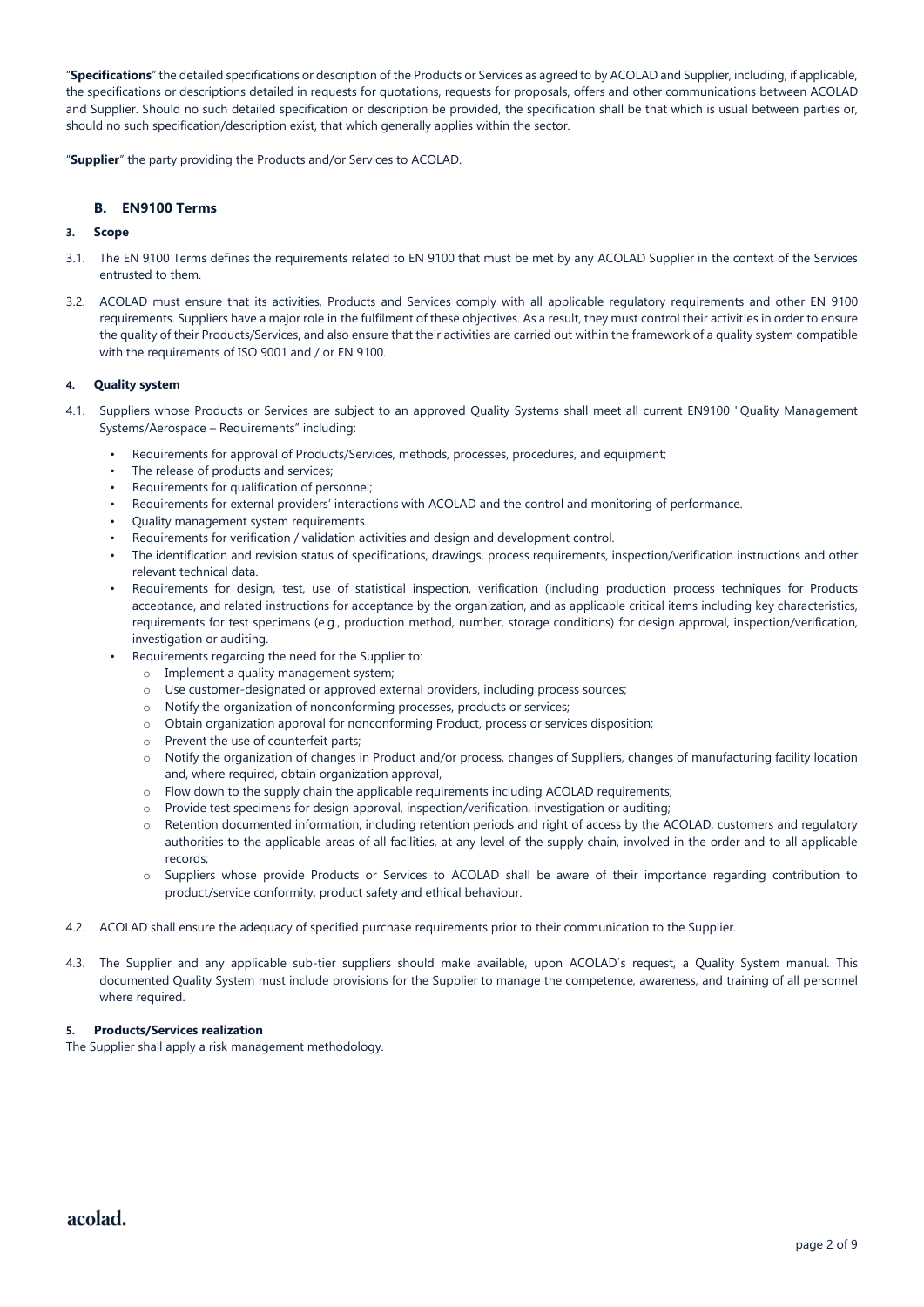"**Specifications**" the detailed specifications or description of the Products or Services as agreed to by ACOLAD and Supplier, including, if applicable, the specifications or descriptions detailed in requests for quotations, requests for proposals, offers and other communications between ACOLAD and Supplier. Should no such detailed specification or description be provided, the specification shall be that which is usual between parties or, should no such specification/description exist, that which generally applies within the sector.

"**Supplier**" the party providing the Products and/or Services to ACOLAD.

## **B. EN9100 Terms**

# **3. Scope**

- 3.1. The EN 9100 Terms defines the requirements related to EN 9100 that must be met by any ACOLAD Supplier in the context of the Services entrusted to them.
- 3.2. ACOLAD must ensure that its activities, Products and Services comply with all applicable regulatory requirements and other EN 9100 requirements. Suppliers have a major role in the fulfilment of these objectives. As a result, they must control their activities in order to ensure the quality of their Products/Services, and also ensure that their activities are carried out within the framework of a quality system compatible with the requirements of ISO 9001 and / or EN 9100.

#### **4. Quality system**

- 4.1. Suppliers whose Products or Services are subject to an approved Quality Systems shall meet all current EN9100 ''Quality Management Systems/Aerospace – Requirements" including:
	- Requirements for approval of Products/Services, methods, processes, procedures, and equipment;
	- The release of products and services;
	- Requirements for qualification of personnel;
	- Requirements for external providers' interactions with ACOLAD and the control and monitoring of performance.
	- Quality management system requirements.
	- Requirements for verification / validation activities and design and development control.
	- The identification and revision status of specifications, drawings, process requirements, inspection/verification instructions and other relevant technical data.
	- Requirements for design, test, use of statistical inspection, verification (including production process techniques for Products acceptance, and related instructions for acceptance by the organization, and as applicable critical items including key characteristics, requirements for test specimens (e.g., production method, number, storage conditions) for design approval, inspection/verification, investigation or auditing.
	- Requirements regarding the need for the Supplier to:
		- o Implement a quality management system;
		- o Use customer-designated or approved external providers, including process sources;
		- o Notify the organization of nonconforming processes, products or services;
		- o Obtain organization approval for nonconforming Product, process or services disposition;
		- o Prevent the use of counterfeit parts;
		- o Notify the organization of changes in Product and/or process, changes of Suppliers, changes of manufacturing facility location and, where required, obtain organization approval,
		- $\circ$  Flow down to the supply chain the applicable requirements including ACOLAD requirements;
		- o Provide test specimens for design approval, inspection/verification, investigation or auditing;
		- o Retention documented information, including retention periods and right of access by the ACOLAD, customers and regulatory authorities to the applicable areas of all facilities, at any level of the supply chain, involved in the order and to all applicable records;
		- o Suppliers whose provide Products or Services to ACOLAD shall be aware of their importance regarding contribution to product/service conformity, product safety and ethical behaviour.
- 4.2. ACOLAD shall ensure the adequacy of specified purchase requirements prior to their communication to the Supplier.
- 4.3. The Supplier and any applicable sub-tier suppliers should make available, upon ACOLAD´s request, a Quality System manual. This documented Quality System must include provisions for the Supplier to manage the competence, awareness, and training of all personnel where required.

## **5. Products/Services realization**

The Supplier shall apply a risk management methodology.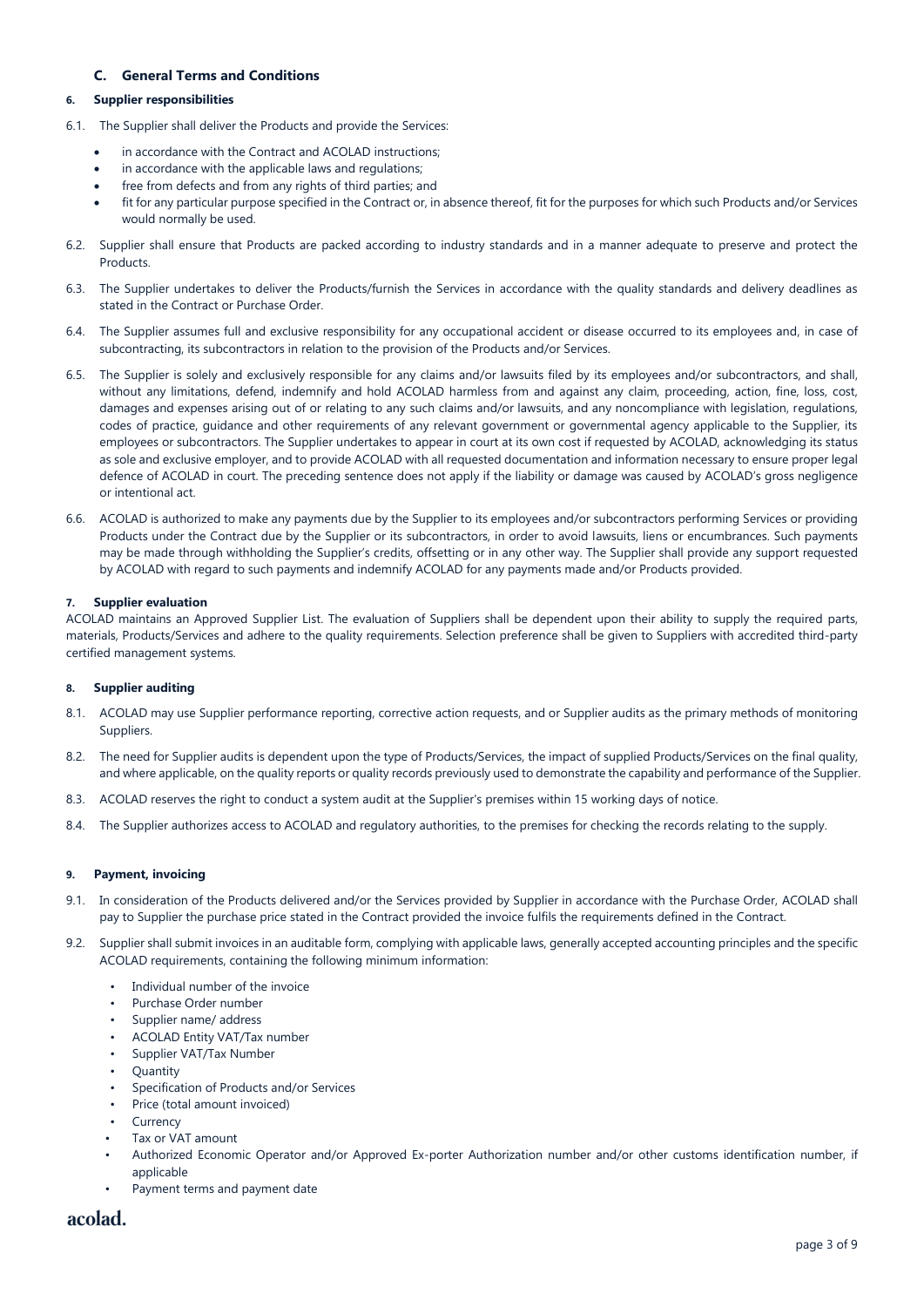# **C. General Terms and Conditions**

#### **6. Supplier responsibilities**

- 6.1. The Supplier shall deliver the Products and provide the Services:
	- in accordance with the Contract and ACOLAD instructions:
	- in accordance with the applicable laws and regulations;
	- free from defects and from any rights of third parties; and
	- fit for any particular purpose specified in the Contract or, in absence thereof, fit for the purposes for which such Products and/or Services would normally be used.
- 6.2. Supplier shall ensure that Products are packed according to industry standards and in a manner adequate to preserve and protect the Products.
- 6.3. The Supplier undertakes to deliver the Products/furnish the Services in accordance with the quality standards and delivery deadlines as stated in the Contract or Purchase Order.
- 6.4. The Supplier assumes full and exclusive responsibility for any occupational accident or disease occurred to its employees and, in case of subcontracting, its subcontractors in relation to the provision of the Products and/or Services.
- 6.5. The Supplier is solely and exclusively responsible for any claims and/or lawsuits filed by its employees and/or subcontractors, and shall, without any limitations, defend, indemnify and hold ACOLAD harmless from and against any claim, proceeding, action, fine, loss, cost, damages and expenses arising out of or relating to any such claims and/or lawsuits, and any noncompliance with legislation, regulations, codes of practice, guidance and other requirements of any relevant government or governmental agency applicable to the Supplier, its employees or subcontractors. The Supplier undertakes to appear in court at its own cost if requested by ACOLAD, acknowledging its status as sole and exclusive employer, and to provide ACOLAD with all requested documentation and information necessary to ensure proper legal defence of ACOLAD in court. The preceding sentence does not apply if the liability or damage was caused by ACOLAD's gross negligence or intentional act.
- 6.6. ACOLAD is authorized to make any payments due by the Supplier to its employees and/or subcontractors performing Services or providing Products under the Contract due by the Supplier or its subcontractors, in order to avoid lawsuits, liens or encumbrances. Such payments may be made through withholding the Supplier's credits, offsetting or in any other way. The Supplier shall provide any support requested by ACOLAD with regard to such payments and indemnify ACOLAD for any payments made and/or Products provided.

#### **7. Supplier evaluation**

ACOLAD maintains an Approved Supplier List. The evaluation of Suppliers shall be dependent upon their ability to supply the required parts, materials, Products/Services and adhere to the quality requirements. Selection preference shall be given to Suppliers with accredited third-party certified management systems.

## **8. Supplier auditing**

- 8.1. ACOLAD may use Supplier performance reporting, corrective action requests, and or Supplier audits as the primary methods of monitoring Suppliers.
- 8.2. The need for Supplier audits is dependent upon the type of Products/Services, the impact of supplied Products/Services on the final quality, and where applicable, on the quality reports or quality records previously used to demonstrate the capability and performance of the Supplier.
- 8.3. ACOLAD reserves the right to conduct a system audit at the Supplier's premises within 15 working days of notice.
- 8.4. The Supplier authorizes access to ACOLAD and regulatory authorities, to the premises for checking the records relating to the supply.

#### **9. Payment, invoicing**

- 9.1. In consideration of the Products delivered and/or the Services provided by Supplier in accordance with the Purchase Order, ACOLAD shall pay to Supplier the purchase price stated in the Contract provided the invoice fulfils the requirements defined in the Contract.
- 9.2. Supplier shall submit invoices in an auditable form, complying with applicable laws, generally accepted accounting principles and the specific ACOLAD requirements, containing the following minimum information:
	- Individual number of the invoice
	- Purchase Order number
	- Supplier name/ address
	- ACOLAD Entity VAT/Tax number
	- Supplier VAT/Tax Number
	- **Ouantity**
	- Specification of Products and/or Services
	- Price (total amount invoiced)
	- Currency
	- Tax or VAT amount
	- Authorized Economic Operator and/or Approved Ex-porter Authorization number and/or other customs identification number, if applicable
	- Payment terms and payment date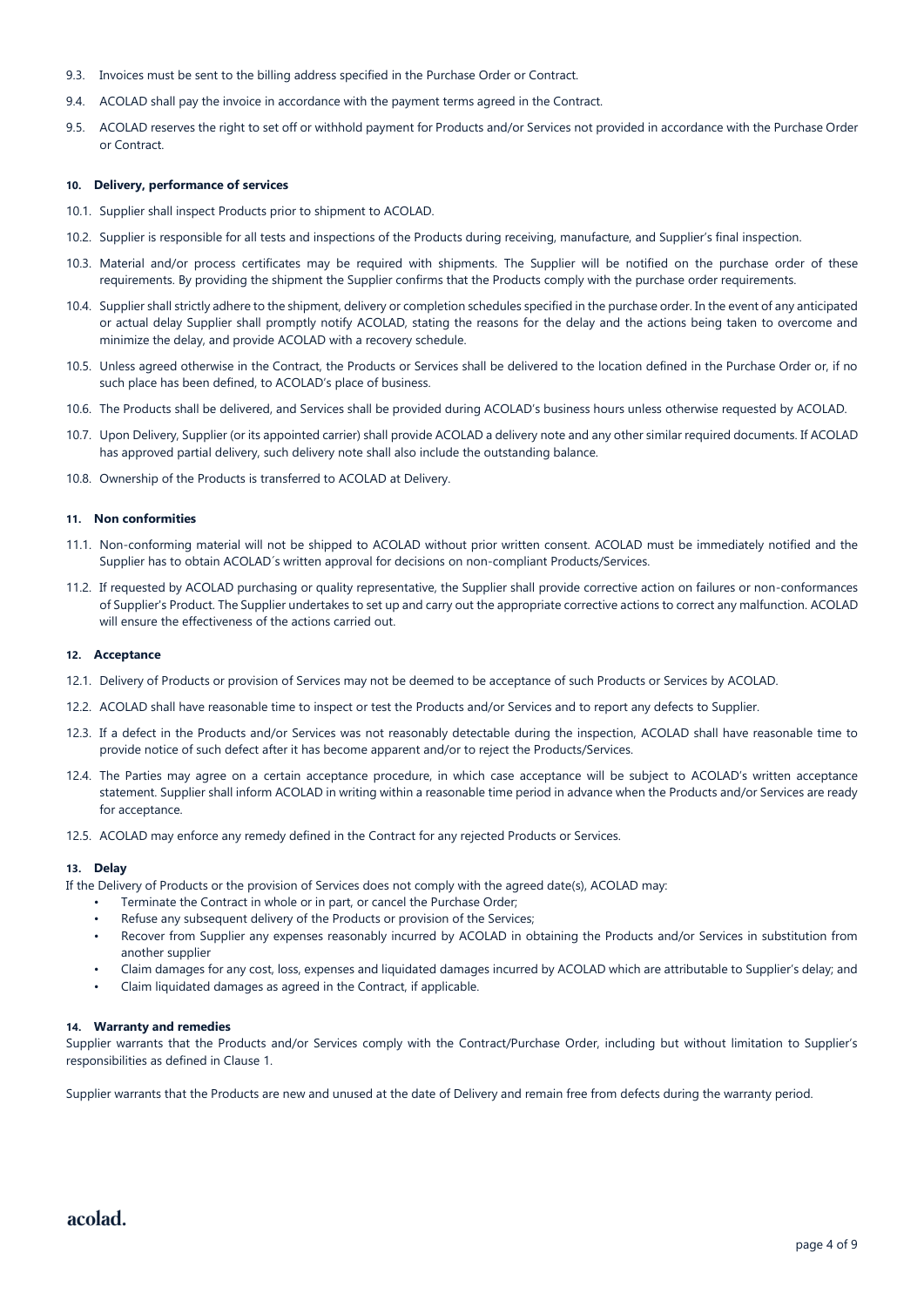- 9.3. Invoices must be sent to the billing address specified in the Purchase Order or Contract.
- 9.4. ACOLAD shall pay the invoice in accordance with the payment terms agreed in the Contract.
- 9.5. ACOLAD reserves the right to set off or withhold payment for Products and/or Services not provided in accordance with the Purchase Order or Contract.

#### **10. Delivery, performance of services**

- 10.1. Supplier shall inspect Products prior to shipment to ACOLAD.
- 10.2. Supplier is responsible for all tests and inspections of the Products during receiving, manufacture, and Supplier's final inspection.
- 10.3. Material and/or process certificates may be required with shipments. The Supplier will be notified on the purchase order of these requirements. By providing the shipment the Supplier confirms that the Products comply with the purchase order requirements.
- 10.4. Supplier shall strictly adhere to the shipment, delivery or completion schedules specified in the purchase order. In the event of any anticipated or actual delay Supplier shall promptly notify ACOLAD, stating the reasons for the delay and the actions being taken to overcome and minimize the delay, and provide ACOLAD with a recovery schedule.
- 10.5. Unless agreed otherwise in the Contract, the Products or Services shall be delivered to the location defined in the Purchase Order or, if no such place has been defined, to ACOLAD's place of business.
- 10.6. The Products shall be delivered, and Services shall be provided during ACOLAD's business hours unless otherwise requested by ACOLAD.
- 10.7. Upon Delivery, Supplier (or its appointed carrier) shall provide ACOLAD a delivery note and any other similar required documents. If ACOLAD has approved partial delivery, such delivery note shall also include the outstanding balance.
- 10.8. Ownership of the Products is transferred to ACOLAD at Delivery.

#### **11. Non conformities**

- 11.1. Non-conforming material will not be shipped to ACOLAD without prior written consent. ACOLAD must be immediately notified and the Supplier has to obtain ACOLAD´s written approval for decisions on non-compliant Products/Services.
- 11.2. If requested by ACOLAD purchasing or quality representative, the Supplier shall provide corrective action on failures or non-conformances of Supplier's Product. The Supplier undertakes to set up and carry out the appropriate corrective actions to correct any malfunction. ACOLAD will ensure the effectiveness of the actions carried out.

### **12. Acceptance**

- 12.1. Delivery of Products or provision of Services may not be deemed to be acceptance of such Products or Services by ACOLAD.
- 12.2. ACOLAD shall have reasonable time to inspect or test the Products and/or Services and to report any defects to Supplier.
- 12.3. If a defect in the Products and/or Services was not reasonably detectable during the inspection, ACOLAD shall have reasonable time to provide notice of such defect after it has become apparent and/or to reject the Products/Services.
- 12.4. The Parties may agree on a certain acceptance procedure, in which case acceptance will be subject to ACOLAD's written acceptance statement. Supplier shall inform ACOLAD in writing within a reasonable time period in advance when the Products and/or Services are ready for acceptance.
- 12.5. ACOLAD may enforce any remedy defined in the Contract for any rejected Products or Services.

#### **13. Delay**

If the Delivery of Products or the provision of Services does not comply with the agreed date(s), ACOLAD may:

- Terminate the Contract in whole or in part, or cancel the Purchase Order;
- Refuse any subsequent delivery of the Products or provision of the Services;
- Recover from Supplier any expenses reasonably incurred by ACOLAD in obtaining the Products and/or Services in substitution from another supplier
- Claim damages for any cost, loss, expenses and liquidated damages incurred by ACOLAD which are attributable to Supplier's delay; and
- Claim liquidated damages as agreed in the Contract, if applicable.

#### **14. Warranty and remedies**

Supplier warrants that the Products and/or Services comply with the Contract/Purchase Order, including but without limitation to Supplier's responsibilities as defined in Clause 1.

Supplier warrants that the Products are new and unused at the date of Delivery and remain free from defects during the warranty period.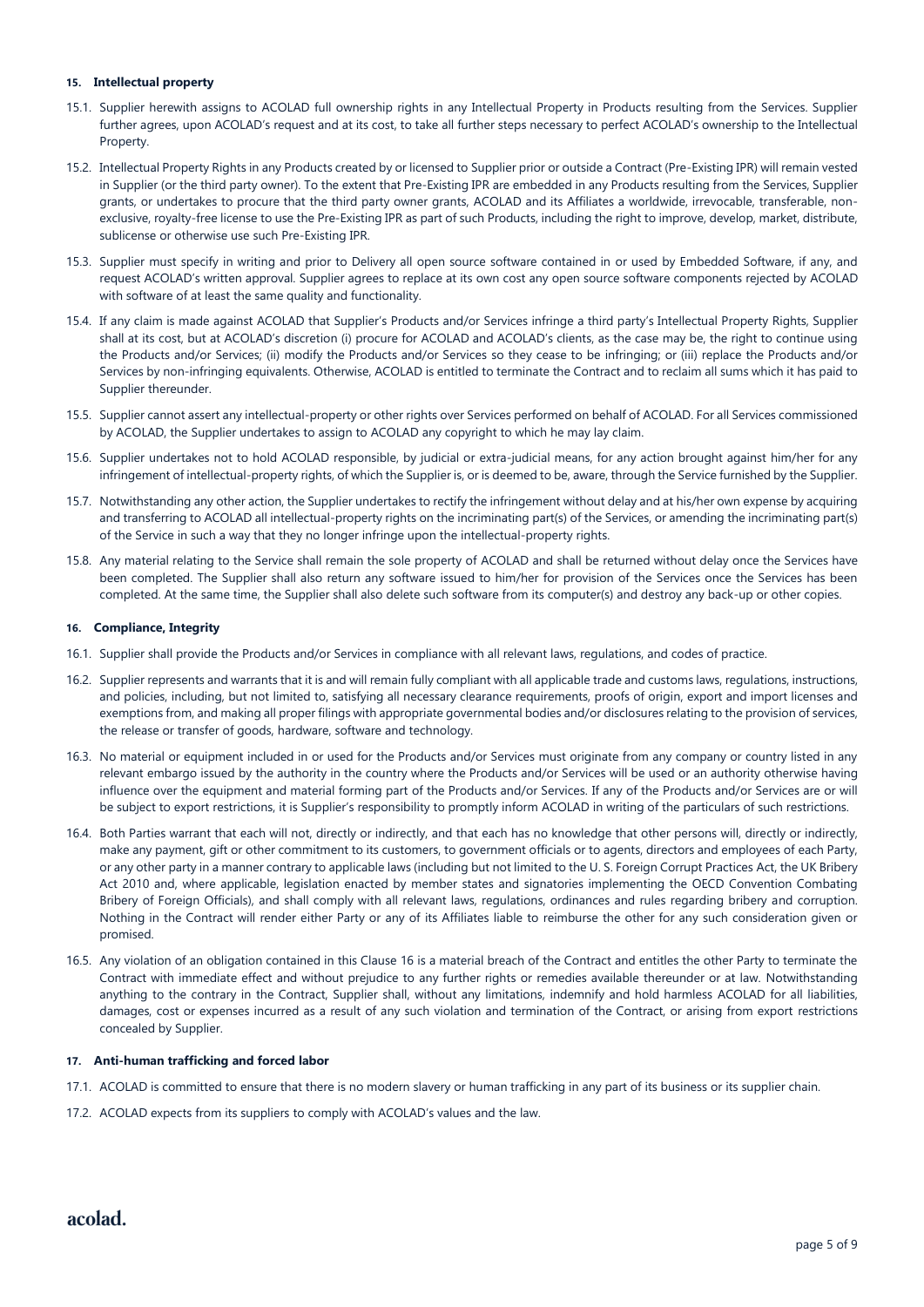#### **15. Intellectual property**

- 15.1. Supplier herewith assigns to ACOLAD full ownership rights in any Intellectual Property in Products resulting from the Services. Supplier further agrees, upon ACOLAD's request and at its cost, to take all further steps necessary to perfect ACOLAD's ownership to the Intellectual Property.
- 15.2. Intellectual Property Rights in any Products created by or licensed to Supplier prior or outside a Contract (Pre-Existing IPR) will remain vested in Supplier (or the third party owner). To the extent that Pre-Existing IPR are embedded in any Products resulting from the Services, Supplier grants, or undertakes to procure that the third party owner grants, ACOLAD and its Affiliates a worldwide, irrevocable, transferable, nonexclusive, royalty-free license to use the Pre-Existing IPR as part of such Products, including the right to improve, develop, market, distribute, sublicense or otherwise use such Pre-Existing IPR.
- 15.3. Supplier must specify in writing and prior to Delivery all open source software contained in or used by Embedded Software, if any, and request ACOLAD's written approval. Supplier agrees to replace at its own cost any open source software components rejected by ACOLAD with software of at least the same quality and functionality.
- 15.4. If any claim is made against ACOLAD that Supplier's Products and/or Services infringe a third party's Intellectual Property Rights, Supplier shall at its cost, but at ACOLAD's discretion (i) procure for ACOLAD and ACOLAD's clients, as the case may be, the right to continue using the Products and/or Services; (ii) modify the Products and/or Services so they cease to be infringing; or (iii) replace the Products and/or Services by non-infringing equivalents. Otherwise, ACOLAD is entitled to terminate the Contract and to reclaim all sums which it has paid to Supplier thereunder.
- 15.5. Supplier cannot assert any intellectual-property or other rights over Services performed on behalf of ACOLAD. For all Services commissioned by ACOLAD, the Supplier undertakes to assign to ACOLAD any copyright to which he may lay claim.
- 15.6. Supplier undertakes not to hold ACOLAD responsible, by judicial or extra-judicial means, for any action brought against him/her for any infringement of intellectual-property rights, of which the Supplier is, or is deemed to be, aware, through the Service furnished by the Supplier.
- 15.7. Notwithstanding any other action, the Supplier undertakes to rectify the infringement without delay and at his/her own expense by acquiring and transferring to ACOLAD all intellectual-property rights on the incriminating part(s) of the Services, or amending the incriminating part(s) of the Service in such a way that they no longer infringe upon the intellectual-property rights.
- 15.8. Any material relating to the Service shall remain the sole property of ACOLAD and shall be returned without delay once the Services have been completed. The Supplier shall also return any software issued to him/her for provision of the Services once the Services has been completed. At the same time, the Supplier shall also delete such software from its computer(s) and destroy any back-up or other copies.

#### **16. Compliance, Integrity**

- 16.1. Supplier shall provide the Products and/or Services in compliance with all relevant laws, regulations, and codes of practice.
- 16.2. Supplier represents and warrants that it is and will remain fully compliant with all applicable trade and customs laws, regulations, instructions, and policies, including, but not limited to, satisfying all necessary clearance requirements, proofs of origin, export and import licenses and exemptions from, and making all proper filings with appropriate governmental bodies and/or disclosures relating to the provision of services, the release or transfer of goods, hardware, software and technology.
- 16.3. No material or equipment included in or used for the Products and/or Services must originate from any company or country listed in any relevant embargo issued by the authority in the country where the Products and/or Services will be used or an authority otherwise having influence over the equipment and material forming part of the Products and/or Services. If any of the Products and/or Services are or will be subject to export restrictions, it is Supplier's responsibility to promptly inform ACOLAD in writing of the particulars of such restrictions.
- 16.4. Both Parties warrant that each will not, directly or indirectly, and that each has no knowledge that other persons will, directly or indirectly, make any payment, gift or other commitment to its customers, to government officials or to agents, directors and employees of each Party, or any other party in a manner contrary to applicable laws (including but not limited to the U. S. Foreign Corrupt Practices Act, the UK Bribery Act 2010 and, where applicable, legislation enacted by member states and signatories implementing the OECD Convention Combating Bribery of Foreign Officials), and shall comply with all relevant laws, regulations, ordinances and rules regarding bribery and corruption. Nothing in the Contract will render either Party or any of its Affiliates liable to reimburse the other for any such consideration given or promised.
- 16.5. Any violation of an obligation contained in this Clause 16 is a material breach of the Contract and entitles the other Party to terminate the Contract with immediate effect and without prejudice to any further rights or remedies available thereunder or at law. Notwithstanding anything to the contrary in the Contract, Supplier shall, without any limitations, indemnify and hold harmless ACOLAD for all liabilities, damages, cost or expenses incurred as a result of any such violation and termination of the Contract, or arising from export restrictions concealed by Supplier.

#### **17. Anti-human trafficking and forced labor**

- 17.1. ACOLAD is committed to ensure that there is no modern slavery or human trafficking in any part of its business or its supplier chain.
- 17.2. ACOLAD expects from its suppliers to comply with ACOLAD's values and the law.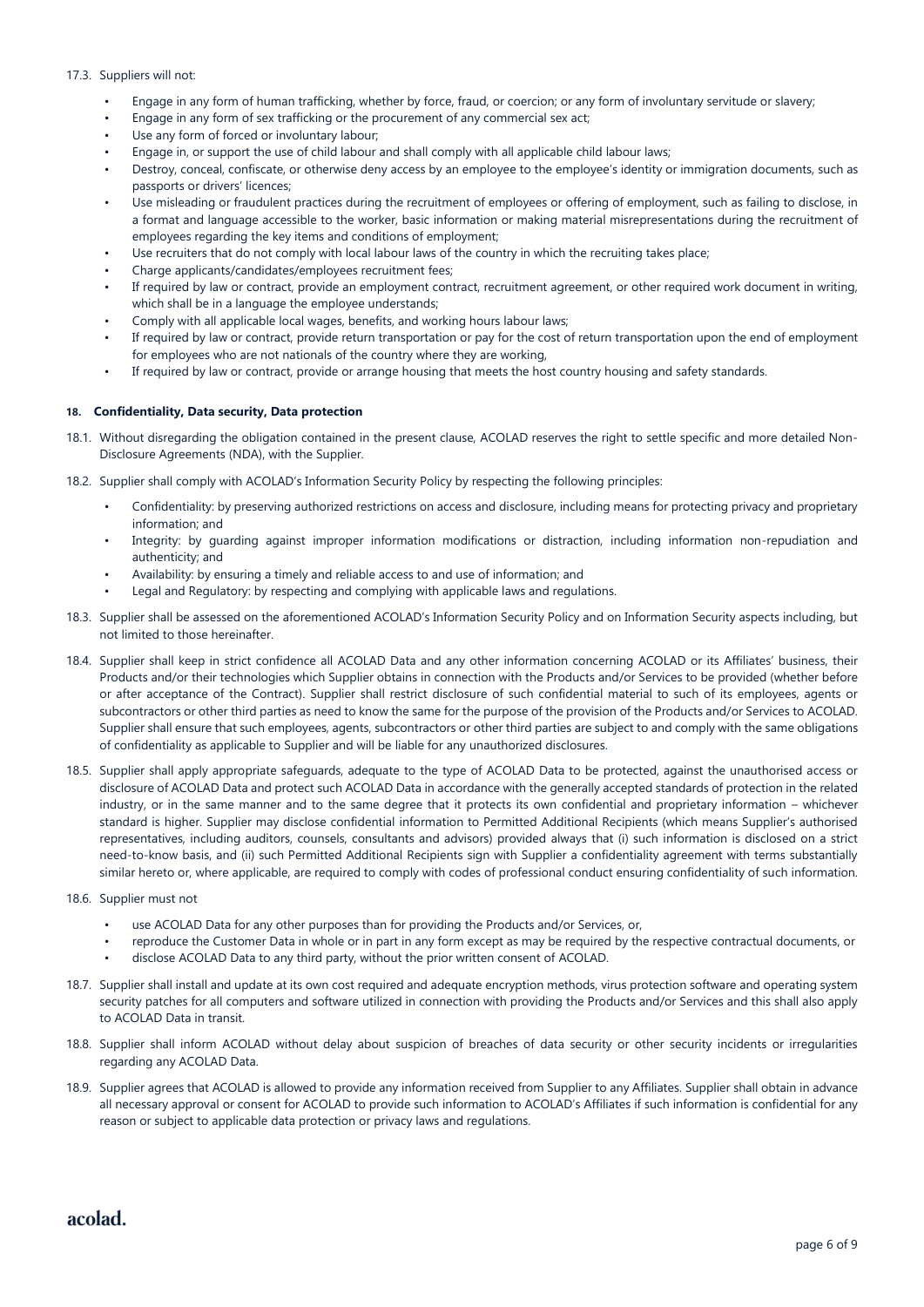#### 17.3. Suppliers will not:

- Engage in any form of human trafficking, whether by force, fraud, or coercion; or any form of involuntary servitude or slavery;
- Engage in any form of sex trafficking or the procurement of any commercial sex act;
- Use any form of forced or involuntary labour;
- Engage in, or support the use of child labour and shall comply with all applicable child labour laws;
- Destroy, conceal, confiscate, or otherwise deny access by an employee to the employee's identity or immigration documents, such as passports or drivers' licences;
- Use misleading or fraudulent practices during the recruitment of employees or offering of employment, such as failing to disclose, in a format and language accessible to the worker, basic information or making material misrepresentations during the recruitment of employees regarding the key items and conditions of employment;
- Use recruiters that do not comply with local labour laws of the country in which the recruiting takes place;
- Charge applicants/candidates/employees recruitment fees;
- If required by law or contract, provide an employment contract, recruitment agreement, or other required work document in writing, which shall be in a language the employee understands;
- Comply with all applicable local wages, benefits, and working hours labour laws;
- If required by law or contract, provide return transportation or pay for the cost of return transportation upon the end of employment for employees who are not nationals of the country where they are working,
- If required by law or contract, provide or arrange housing that meets the host country housing and safety standards.

#### **18. Confidentiality, Data security, Data protection**

- 18.1. Without disregarding the obligation contained in the present clause, ACOLAD reserves the right to settle specific and more detailed Non-Disclosure Agreements (NDA), with the Supplier.
- 18.2. Supplier shall comply with ACOLAD's Information Security Policy by respecting the following principles:
	- Confidentiality: by preserving authorized restrictions on access and disclosure, including means for protecting privacy and proprietary information; and
	- Integrity: by quarding against improper information modifications or distraction, including information non-repudiation and authenticity; and
	- Availability: by ensuring a timely and reliable access to and use of information; and
	- Legal and Regulatory: by respecting and complying with applicable laws and regulations.
- 18.3. Supplier shall be assessed on the aforementioned ACOLAD's Information Security Policy and on Information Security aspects including, but not limited to those hereinafter.
- 18.4. Supplier shall keep in strict confidence all ACOLAD Data and any other information concerning ACOLAD or its Affiliates' business, their Products and/or their technologies which Supplier obtains in connection with the Products and/or Services to be provided (whether before or after acceptance of the Contract). Supplier shall restrict disclosure of such confidential material to such of its employees, agents or subcontractors or other third parties as need to know the same for the purpose of the provision of the Products and/or Services to ACOLAD. Supplier shall ensure that such employees, agents, subcontractors or other third parties are subject to and comply with the same obligations of confidentiality as applicable to Supplier and will be liable for any unauthorized disclosures.
- 18.5. Supplier shall apply appropriate safeguards, adequate to the type of ACOLAD Data to be protected, against the unauthorised access or disclosure of ACOLAD Data and protect such ACOLAD Data in accordance with the generally accepted standards of protection in the related industry, or in the same manner and to the same degree that it protects its own confidential and proprietary information – whichever standard is higher. Supplier may disclose confidential information to Permitted Additional Recipients (which means Supplier's authorised representatives, including auditors, counsels, consultants and advisors) provided always that (i) such information is disclosed on a strict need-to-know basis, and (ii) such Permitted Additional Recipients sign with Supplier a confidentiality agreement with terms substantially similar hereto or, where applicable, are required to comply with codes of professional conduct ensuring confidentiality of such information.
- 18.6. Supplier must not
	- use ACOLAD Data for any other purposes than for providing the Products and/or Services, or,
	- reproduce the Customer Data in whole or in part in any form except as may be required by the respective contractual documents, or
	- disclose ACOLAD Data to any third party, without the prior written consent of ACOLAD.
- 18.7. Supplier shall install and update at its own cost required and adequate encryption methods, virus protection software and operating system security patches for all computers and software utilized in connection with providing the Products and/or Services and this shall also apply to ACOLAD Data in transit.
- 18.8. Supplier shall inform ACOLAD without delay about suspicion of breaches of data security or other security incidents or irregularities regarding any ACOLAD Data.
- 18.9. Supplier agrees that ACOLAD is allowed to provide any information received from Supplier to any Affiliates. Supplier shall obtain in advance all necessary approval or consent for ACOLAD to provide such information to ACOLAD's Affiliates if such information is confidential for any reason or subject to applicable data protection or privacy laws and regulations.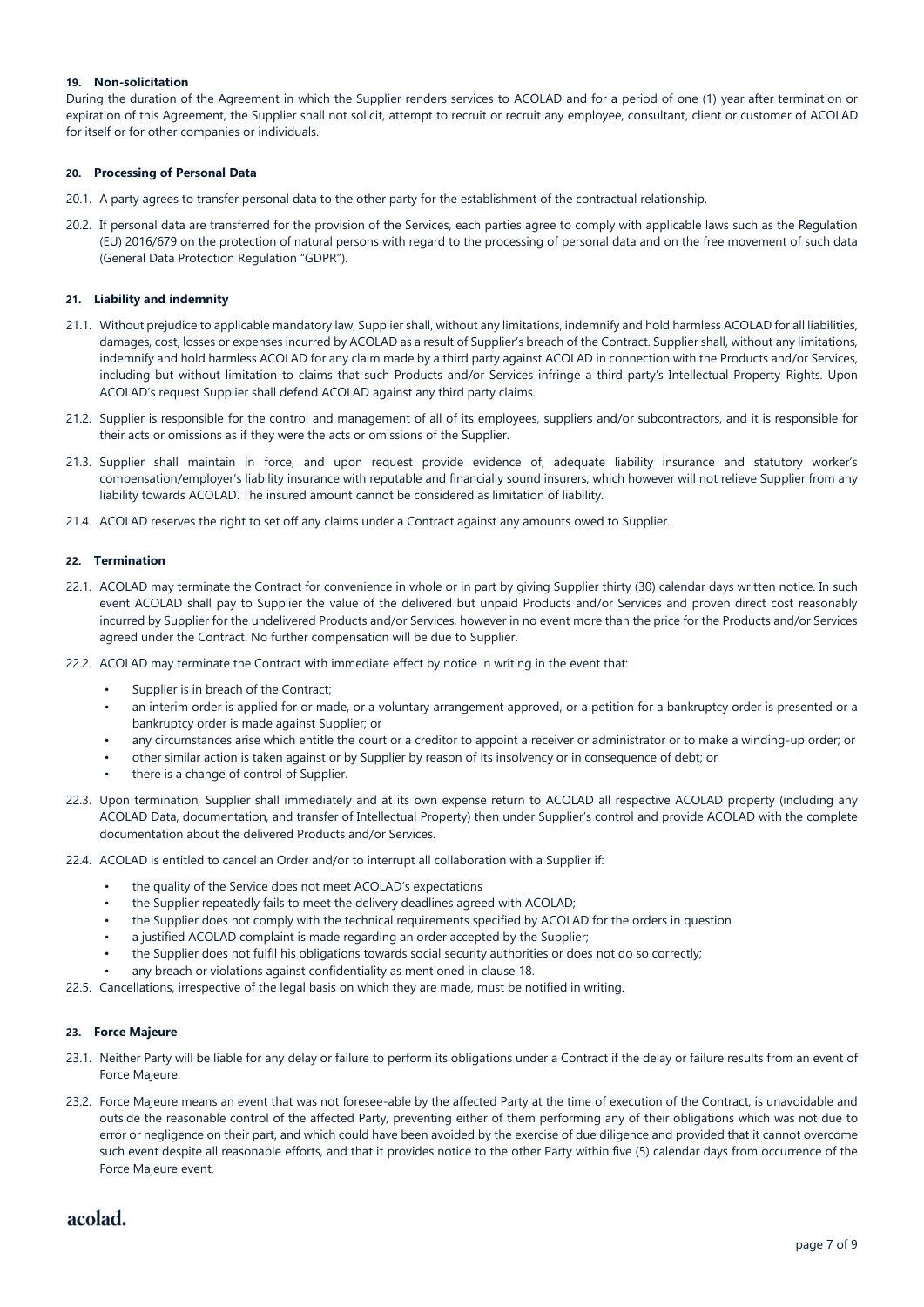#### **19. Non-solicitation**

During the duration of the Agreement in which the Supplier renders services to ACOLAD and for a period of one (1) year after termination or expiration of this Agreement, the Supplier shall not solicit, attempt to recruit or recruit any employee, consultant, client or customer of ACOLAD for itself or for other companies or individuals.

#### **20. Processing of Personal Data**

- 20.1. A party agrees to transfer personal data to the other party for the establishment of the contractual relationship.
- 20.2. If personal data are transferred for the provision of the Services, each parties agree to comply with applicable laws such as the Regulation (EU) 2016/679 on the protection of natural persons with regard to the processing of personal data and on the free movement of such data (General Data Protection Regulation "GDPR").

#### **21. Liability and indemnity**

- 21.1. Without prejudice to applicable mandatory law, Supplier shall, without any limitations, indemnify and hold harmless ACOLAD for all liabilities, damages, cost, losses or expenses incurred by ACOLAD as a result of Supplier's breach of the Contract. Supplier shall, without any limitations, indemnify and hold harmless ACOLAD for any claim made by a third party against ACOLAD in connection with the Products and/or Services, including but without limitation to claims that such Products and/or Services infringe a third party's Intellectual Property Rights. Upon ACOLAD's request Supplier shall defend ACOLAD against any third party claims.
- 21.2. Supplier is responsible for the control and management of all of its employees, suppliers and/or subcontractors, and it is responsible for their acts or omissions as if they were the acts or omissions of the Supplier.
- 21.3. Supplier shall maintain in force, and upon request provide evidence of, adequate liability insurance and statutory worker's compensation/employer's liability insurance with reputable and financially sound insurers, which however will not relieve Supplier from any liability towards ACOLAD. The insured amount cannot be considered as limitation of liability.
- 21.4. ACOLAD reserves the right to set off any claims under a Contract against any amounts owed to Supplier.

#### **22. Termination**

- 22.1. ACOLAD may terminate the Contract for convenience in whole or in part by giving Supplier thirty (30) calendar days written notice. In such event ACOLAD shall pay to Supplier the value of the delivered but unpaid Products and/or Services and proven direct cost reasonably incurred by Supplier for the undelivered Products and/or Services, however in no event more than the price for the Products and/or Services agreed under the Contract. No further compensation will be due to Supplier.
- 22.2. ACOLAD may terminate the Contract with immediate effect by notice in writing in the event that:
	- Supplier is in breach of the Contract:
	- an interim order is applied for or made, or a voluntary arrangement approved, or a petition for a bankruptcy order is presented or a bankruptcy order is made against Supplier; or
	- any circumstances arise which entitle the court or a creditor to appoint a receiver or administrator or to make a winding-up order; or
	- other similar action is taken against or by Supplier by reason of its insolvency or in consequence of debt; or
	- there is a change of control of Supplier.
- 22.3. Upon termination, Supplier shall immediately and at its own expense return to ACOLAD all respective ACOLAD property (including any ACOLAD Data, documentation, and transfer of Intellectual Property) then under Supplier's control and provide ACOLAD with the complete documentation about the delivered Products and/or Services.
- 22.4. ACOLAD is entitled to cancel an Order and/or to interrupt all collaboration with a Supplier if:
	- the quality of the Service does not meet ACOLAD's expectations
	- the Supplier repeatedly fails to meet the delivery deadlines agreed with ACOLAD;
	- the Supplier does not comply with the technical requirements specified by ACOLAD for the orders in question
	- a justified ACOLAD complaint is made regarding an order accepted by the Supplier;
	- the Supplier does not fulfil his obligations towards social security authorities or does not do so correctly;
	- any breach or violations against confidentiality as mentioned in clause 18.
- 22.5. Cancellations, irrespective of the legal basis on which they are made, must be notified in writing.

# **23. Force Majeure**

- 23.1. Neither Party will be liable for any delay or failure to perform its obligations under a Contract if the delay or failure results from an event of Force Majeure.
- 23.2. Force Majeure means an event that was not foresee-able by the affected Party at the time of execution of the Contract, is unavoidable and outside the reasonable control of the affected Party, preventing either of them performing any of their obligations which was not due to error or negligence on their part, and which could have been avoided by the exercise of due diligence and provided that it cannot overcome such event despite all reasonable efforts, and that it provides notice to the other Party within five (5) calendar days from occurrence of the Force Majeure event.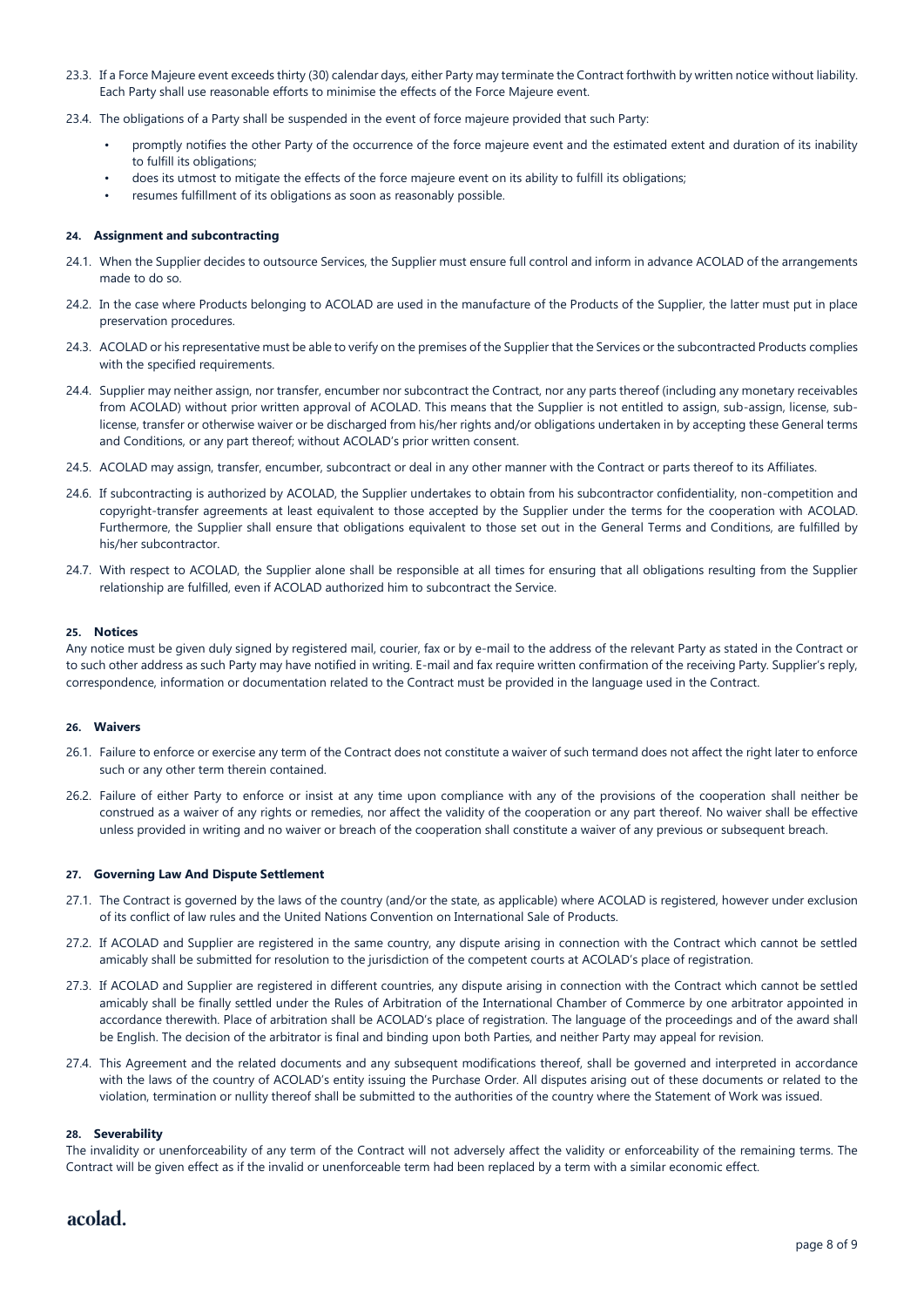- 23.3. If a Force Majeure event exceeds thirty (30) calendar days, either Party may terminate the Contract forthwith by written notice without liability. Each Party shall use reasonable efforts to minimise the effects of the Force Majeure event.
- 23.4. The obligations of a Party shall be suspended in the event of force majeure provided that such Party:
	- promptly notifies the other Party of the occurrence of the force majeure event and the estimated extent and duration of its inability to fulfill its obligations;
	- does its utmost to mitigate the effects of the force majeure event on its ability to fulfill its obligations;
	- resumes fulfillment of its obligations as soon as reasonably possible.

#### **24. Assignment and subcontracting**

- 24.1. When the Supplier decides to outsource Services, the Supplier must ensure full control and inform in advance ACOLAD of the arrangements made to do so.
- 24.2. In the case where Products belonging to ACOLAD are used in the manufacture of the Products of the Supplier, the latter must put in place preservation procedures.
- 24.3. ACOLAD or his representative must be able to verify on the premises of the Supplier that the Services or the subcontracted Products complies with the specified requirements.
- 24.4. Supplier may neither assign, nor transfer, encumber nor subcontract the Contract, nor any parts thereof (including any monetary receivables from ACOLAD) without prior written approval of ACOLAD. This means that the Supplier is not entitled to assign, sub-assign, license, sublicense, transfer or otherwise waiver or be discharged from his/her rights and/or obligations undertaken in by accepting these General terms and Conditions, or any part thereof; without ACOLAD's prior written consent.
- 24.5. ACOLAD may assign, transfer, encumber, subcontract or deal in any other manner with the Contract or parts thereof to its Affiliates.
- 24.6. If subcontracting is authorized by ACOLAD, the Supplier undertakes to obtain from his subcontractor confidentiality, non-competition and copyright-transfer agreements at least equivalent to those accepted by the Supplier under the terms for the cooperation with ACOLAD. Furthermore, the Supplier shall ensure that obligations equivalent to those set out in the General Terms and Conditions, are fulfilled by his/her subcontractor.
- 24.7. With respect to ACOLAD, the Supplier alone shall be responsible at all times for ensuring that all obligations resulting from the Supplier relationship are fulfilled, even if ACOLAD authorized him to subcontract the Service.

#### **25. Notices**

Any notice must be given duly signed by registered mail, courier, fax or by e-mail to the address of the relevant Party as stated in the Contract or to such other address as such Party may have notified in writing. E-mail and fax require written confirmation of the receiving Party. Supplier's reply, correspondence, information or documentation related to the Contract must be provided in the language used in the Contract.

#### **26. Waivers**

- 26.1. Failure to enforce or exercise any term of the Contract does not constitute a waiver of such termand does not affect the right later to enforce such or any other term therein contained.
- 26.2. Failure of either Party to enforce or insist at any time upon compliance with any of the provisions of the cooperation shall neither be construed as a waiver of any rights or remedies, nor affect the validity of the cooperation or any part thereof. No waiver shall be effective unless provided in writing and no waiver or breach of the cooperation shall constitute a waiver of any previous or subsequent breach.

#### **27. Governing Law And Dispute Settlement**

- 27.1. The Contract is governed by the laws of the country (and/or the state, as applicable) where ACOLAD is registered, however under exclusion of its conflict of law rules and the United Nations Convention on International Sale of Products.
- 27.2. If ACOLAD and Supplier are registered in the same country, any dispute arising in connection with the Contract which cannot be settled amicably shall be submitted for resolution to the jurisdiction of the competent courts at ACOLAD's place of registration.
- 27.3. If ACOLAD and Supplier are registered in different countries, any dispute arising in connection with the Contract which cannot be settled amicably shall be finally settled under the Rules of Arbitration of the International Chamber of Commerce by one arbitrator appointed in accordance therewith. Place of arbitration shall be ACOLAD's place of registration. The language of the proceedings and of the award shall be English. The decision of the arbitrator is final and binding upon both Parties, and neither Party may appeal for revision.
- 27.4. This Agreement and the related documents and any subsequent modifications thereof, shall be governed and interpreted in accordance with the laws of the country of ACOLAD's entity issuing the Purchase Order. All disputes arising out of these documents or related to the violation, termination or nullity thereof shall be submitted to the authorities of the country where the Statement of Work was issued.

#### **28. Severability**

The invalidity or unenforceability of any term of the Contract will not adversely affect the validity or enforceability of the remaining terms. The Contract will be given effect as if the invalid or unenforceable term had been replaced by a term with a similar economic effect.